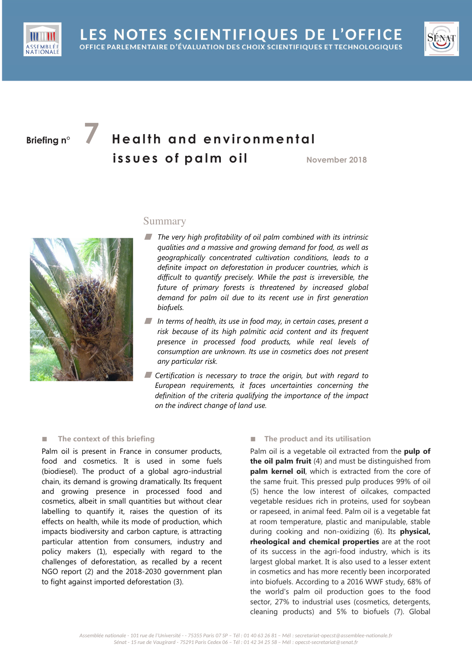

# **Briefing n°** *A* **Health and environmental issues of palm oil November** 2018



# Summary

- The very high profitability of oil palm combined with its intrinsic *qualities and a massive and growing demand for food, as well as geographically concentrated cultivation conditions, leads to a definite impact on deforestation in producer countries, which is difficult to quantify precisely. While the past is irreversible, the future of primary forests is threatened by increased global demand for palm oil due to its recent use in first generation biofuels.*
- In terms of health, its use in food may, in certain cases, present a *risk because of its high palmitic acid content and its frequent presence in processed food products, while real levels of consumption are unknown. Its use in cosmetics does not present any particular risk.*
- **Certification is necessary to trace the origin, but with regard to** *European requirements, it faces uncertainties concerning the definition of the criteria qualifying the importance of the impact on the indirect change of land use.*

# **■ The context of this briefing**

Palm oil is present in France in consumer products, food and cosmetics. It is used in some fuels (biodiesel). The product of a global agro-industrial chain, its demand is growing dramatically. Its frequent and growing presence in processed food and cosmetics, albeit in small quantities but without clear labelling to quantify it, raises the question of its effects on health, while its mode of production, which impacts biodiversity and carbon capture, is attracting particular attention from consumers, industry and policy makers (1), especially with regard to the challenges of deforestation, as recalled by a recent NGO report (2) and the 2018-2030 government plan to fight against imported deforestation (3).

# **■ The product and its utilisation**

Palm oil is a vegetable oil extracted from the **pulp of the oil palm fruit** (4) and must be distinguished from **palm kernel oil**, which is extracted from the core of the same fruit. This pressed pulp produces 99% of oil (5) hence the low interest of oilcakes, compacted vegetable residues rich in proteins, used for soybean or rapeseed, in animal feed. Palm oil is a vegetable fat at room temperature, plastic and manipulable, stable during cooking and non-oxidizing (6). Its **physical, rheological and chemical properties** are at the root of its success in the agri-food industry, which is its largest global market. It is also used to a lesser extent in cosmetics and has more recently been incorporated into biofuels. According to a 2016 WWF study, 68% of the world's palm oil production goes to the food sector, 27% to industrial uses (cosmetics, detergents, cleaning products) and 5% to biofuels (7). Global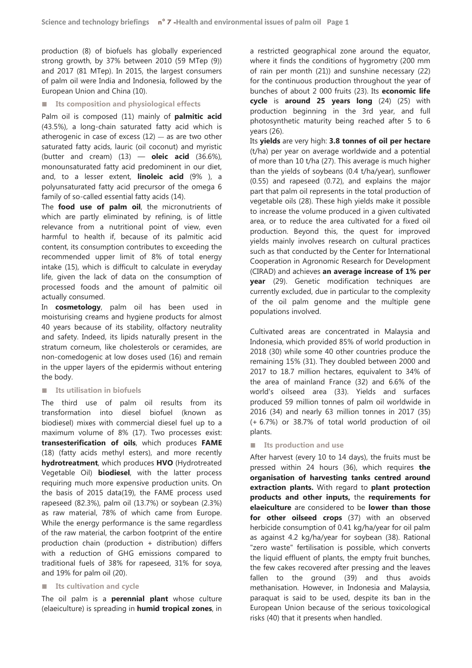production (8) of biofuels has globally experienced strong growth, by 37% between 2010 (59 MTep (9)) and 2017 (81 MTep). In 2015, the largest consumers of palm oil were India and Indonesia, followed by the European Union and China (10).

### ■ **Its composition and physiological effects**

Palm oil is composed (11) mainly of **palmitic acid** (43.5%), a long-chain saturated fatty acid which is atherogenic in case of excess  $(12)$  — as are two other saturated fatty acids, lauric (oil coconut) and myristic (butter and cream) (13) — **oleic acid** (36.6%), monounsaturated fatty acid predominent in our diet, and, to a lesser extent, **linoleic acid** (9% ), a polyunsaturated fatty acid precursor of the omega 6 family of so-called essential fatty acids (14).

The **food use of palm oil**, the micronutrients of which are partly eliminated by refining, is of little relevance from a nutritional point of view, even harmful to health if, because of its palmitic acid content, its consumption contributes to exceeding the recommended upper limit of 8% of total energy intake (15), which is difficult to calculate in everyday life, given the lack of data on the consumption of processed foods and the amount of palmitic oil actually consumed.

In **cosmetology**, palm oil has been used in moisturising creams and hygiene products for almost 40 years because of its stability, olfactory neutrality and safety. Indeed, its lipids naturally present in the stratum corneum, like cholesterols or ceramides, are non-comedogenic at low doses used (16) and remain in the upper layers of the epidermis without entering the body.

#### **■ Its utilisation in biofuels**

The third use of palm oil results from its transformation into diesel biofuel (known as biodiesel) mixes with commercial diesel fuel up to a maximum volume of 8% (17). Two processes exist: **transesterification of oils**, which produces **FAME** (18) (fatty acids methyl esters), and more recently **hydrotreatment**, which produces **HVO** (Hydrotreated Vegetable Oil) **biodiesel**, with the latter process requiring much more expensive production units. On the basis of 2015 data(19), the FAME process used rapeseed (82.3%), palm oil (13.7%) or soybean (2.3%) as raw material, 78% of which came from Europe. While the energy performance is the same regardless of the raw material, the carbon footprint of the entire production chain (production + distribution) differs with a reduction of GHG emissions compared to traditional fuels of 38% for rapeseed, 31% for soya, and 19% for palm oil (20).

#### ■ **Its cultivation and cycle**

The oil palm is a **perennial plant** whose culture (elaeiculture) is spreading in **humid tropical zones**, in a restricted geographical zone around the equator, where it finds the conditions of hygrometry (200 mm of rain per month (21)) and sunshine necessary (22) for the continuous production throughout the year of bunches of about 2 000 fruits (23). Its **economic life cycle** is **around 25 years long** (24) (25) with production beginning in the 3rd year, and full photosynthetic maturity being reached after 5 to 6 years (26).

Its **yields** are very high: **3.8 tonnes of oil per hectare** (t/ha) per year on average worldwide and a potential of more than 10 t/ha (27). This average is much higher than the yields of soybeans (0.4 t/ha/year), sunflower (0.55) and rapeseed (0.72), and explains the major part that palm oil represents in the total production of vegetable oils (28). These high yields make it possible to increase the volume produced in a given cultivated area, or to reduce the area cultivated for a fixed oil production. Beyond this, the quest for improved yields mainly involves research on cultural practices such as that conducted by the Center for International Cooperation in Agronomic Research for Development (CIRAD) and achieves **an average increase of 1% per year** (29). Genetic modification techniques are currently excluded, due in particular to the complexity of the oil palm genome and the multiple gene populations involved.

Cultivated areas are concentrated in Malaysia and Indonesia, which provided 85% of world production in 2018 (30) while some 40 other countries produce the remaining 15% (31). They doubled between 2000 and 2017 to 18.7 million hectares, equivalent to 34% of the area of mainland France (32) and 6.6% of the world's oilseed area (33). Yields and surfaces produced 59 million tonnes of palm oil worldwide in 2016 (34) and nearly 63 million tonnes in 2017 (35) (+ 6.7%) or 38.7% of total world production of oil plants.

# ■ **Its production and use**

After harvest (every 10 to 14 days), the fruits must be pressed within 24 hours (36), which requires **the organisation of harvesting tanks centred around extraction plants.** With regard to **plant protection products and other inputs,** the **requirements for elaeiculture** are considered to be **lower than those for other oilseed crops** (37) with an observed herbicide consumption of 0.41 kg/ha/year for oil palm as against 4.2 kg/ha/year for soybean (38). Rational "zero waste" fertilisation is possible, which converts the liquid effluent of plants, the empty fruit bunches, the few cakes recovered after pressing and the leaves fallen to the ground (39) and thus avoids methanisation. However, in Indonesia and Malaysia, paraquat is said to be used, despite its ban in the European Union because of the serious toxicological risks (40) that it presents when handled.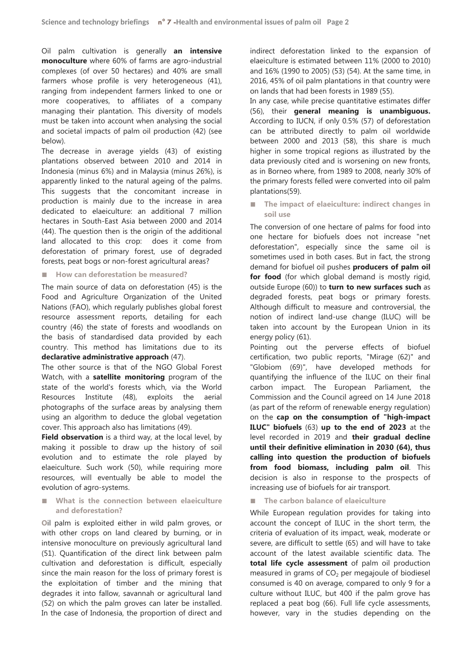Oil palm cultivation is generally **an intensive monoculture** where 60% of farms are agro-industrial complexes (of over 50 hectares) and 40% are small farmers whose profile is very heterogeneous (41), ranging from independent farmers linked to one or more cooperatives, to affiliates of a company managing their plantation. This diversity of models must be taken into account when analysing the social and societal impacts of palm oil production (42) (see below).

The decrease in average yields (43) of existing plantations observed between 2010 and 2014 in Indonesia (minus 6%) and in Malaysia (minus 26%), is apparently linked to the natural ageing of the palms. This suggests that the concomitant increase in production is mainly due to the increase in area dedicated to elaeiculture: an additional 7 million hectares in South-East Asia between 2000 and 2014 (44). The question then is the origin of the additional land allocated to this crop: does it come from deforestation of primary forest, use of degraded forests, peat bogs or non-forest agricultural areas?

#### **■ How can deforestation be measured?**

The main source of data on deforestation (45) is the Food and Agriculture Organization of the United Nations (FAO), which regularly publishes global forest resource assessment reports, detailing for each country (46) the state of forests and woodlands on the basis of standardised data provided by each country. This method has limitations due to its **declarative administrative approach** (47).

The other source is that of the NGO Global Forest Watch, with a **satellite monitoring** program of the state of the world's forests which, via the World Resources Institute (48), exploits the aerial photographs of the surface areas by analysing them using an algorithm to deduce the global vegetation cover. This approach also has limitations (49).

**Field observation** is a third way, at the local level, by making it possible to draw up the history of soil evolution and to estimate the role played by elaeiculture. Such work (50), while requiring more resources, will eventually be able to model the evolution of agro-systems.

# ■ What is the connection between elaeiculture **and deforestation?**

**O**il palm is exploited either in wild palm groves, or with other crops on land cleared by burning, or in intensive monoculture on previously agricultural land (51). Quantification of the direct link between palm cultivation and deforestation is difficult, especially since the main reason for the loss of primary forest is the exploitation of timber and the mining that degrades it into fallow, savannah or agricultural land (52) on which the palm groves can later be installed. In the case of Indonesia, the proportion of direct and indirect deforestation linked to the expansion of elaeiculture is estimated between 11% (2000 to 2010) and 16% (1990 to 2005) (53) (54). At the same time, in 2016, 45% of oil palm plantations in that country were on lands that had been forests in 1989 (55).

In any case, while precise quantitative estimates differ (56), their **general meaning is unambiguous.** According to IUCN, if only 0.5% (57) of deforestation can be attributed directly to palm oil worldwide between 2000 and 2013 (58), this share is much higher in some tropical regions as illustrated by the data previously cited and is worsening on new fronts, as in Borneo where, from 1989 to 2008, nearly 30% of the primary forests felled were converted into oil palm plantations(59).

**■ The impact of elaeiculture: indirect changes in soil use**

The conversion of one hectare of palms for food into one hectare for biofuels does not increase "net deforestation", especially since the same oil is sometimes used in both cases. But in fact, the strong demand for biofuel oil pushes **producers of palm oil**  for food (for which global demand is mostly rigid, outside Europe (60)) to **turn to new surfaces such** as degraded forests, peat bogs or primary forests. Although difficult to measure and controversial, the notion of indirect land-use change (ILUC) will be taken into account by the European Union in its energy policy (61).

Pointing out the perverse effects of biofuel certification, two public reports, "Mirage (62)" and "Globiom (69)", have developed methods for quantifying the influence of the ILUC on their final carbon impact. The European Parliament, the Commission and the Council agreed on 14 June 2018 (as part of the reform of renewable energy regulation) on the **cap on the consumption of "high-impact ILUC" biofuels** (63) **up to the end of 2023** at the level recorded in 2019 and **their gradual decline until their definitive elimination in 2030 (64), thus calling into question the production of biofuels from food biomass, including palm oil**. This decision is also in response to the prospects of increasing use of biofuels for air transport.

# ■ **The carbon balance of elaeiculture**

While European regulation provides for taking into account the concept of ILUC in the short term, the criteria of evaluation of its impact, weak, moderate or severe, are difficult to settle (65) and will have to take account of the latest available scientific data. The **total life cycle assessment** of palm oil production measured in grams of  $CO<sub>2</sub>$  per megajoule of biodiesel consumed is 40 on average, compared to only 9 for a culture without ILUC, but 400 if the palm grove has replaced a peat bog (66). Full life cycle assessments, however, vary in the studies depending on the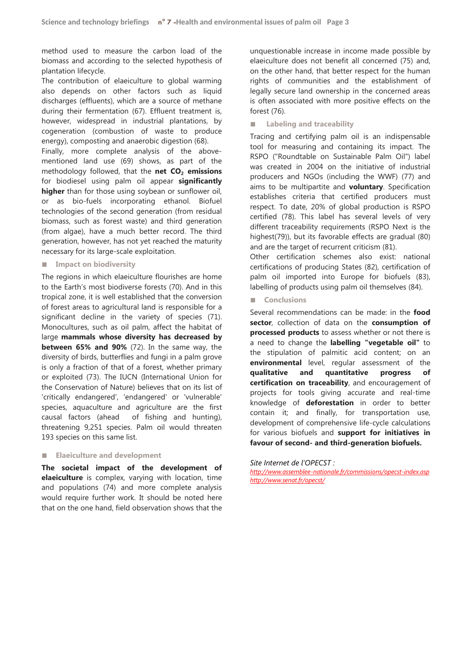method used to measure the carbon load of the biomass and according to the selected hypothesis of plantation lifecycle.

The contribution of elaeiculture to global warming also depends on other factors such as liquid discharges (effluents), which are a source of methane during their fermentation (67). Effluent treatment is, however, widespread in industrial plantations, by cogeneration (combustion of waste to produce energy), composting and anaerobic digestion (68).

Finally, more complete analysis of the abovementioned land use (69) shows, as part of the methodology followed, that the **net CO2 emissions** for biodiesel using palm oil appear **significantly higher** than for those using soybean or sunflower oil, or as bio-fuels incorporating ethanol. Biofuel technologies of the second generation (from residual biomass, such as forest waste) and third generation (from algae), have a much better record. The third generation, however, has not yet reached the maturity necessary for its large-scale exploitation.

#### **■ Impact on biodiversity**

The regions in which elaeiculture flourishes are home to the Earth's most biodiverse forests (70). And in this tropical zone, it is well established that the conversion of forest areas to agricultural land is responsible for a significant decline in the variety of species (71). Monocultures, such as oil palm, affect the habitat of large **mammals whose diversity has decreased by between 65% and 90%** (72). In the same way, the diversity of birds, butterflies and fungi in a palm grove is only a fraction of that of a forest, whether primary or exploited (73). The IUCN (International Union for the Conservation of Nature) believes that on its list of 'critically endangered', 'endangered' or 'vulnerable' species, aquaculture and agriculture are the first causal factors (ahead of fishing and hunting), threatening 9,251 species. Palm oil would threaten 193 species on this same list.

#### **■ Elaeiculture and development**

**The societal impact of the development of elaeiculture** is complex, varying with location, time and populations (74) and more complete analysis would require further work. It should be noted here that on the one hand, field observation shows that the

unquestionable increase in income made possible by elaeiculture does not benefit all concerned (75) and, on the other hand, that better respect for the human rights of communities and the establishment of legally secure land ownership in the concerned areas is often associated with more positive effects on the forest (76).

#### **■ Labeling and traceability**

Tracing and certifying palm oil is an indispensable tool for measuring and containing its impact. The RSPO ("Roundtable on Sustainable Palm Oil") label was created in 2004 on the initiative of industrial producers and NGOs (including the WWF) (77) and aims to be multipartite and **voluntary**. Specification establishes criteria that certified producers must respect. To date, 20% of global production is RSPO certified (78). This label has several levels of very different traceability requirements (RSPO Next is the highest(79)), but its favorable effects are gradual (80) and are the target of recurrent criticism (81).

Other certification schemes also exist: national certifications of producing States (82), certification of palm oil imported into Europe for biofuels (83), labelling of products using palm oil themselves (84).

**■ Conclusions** 

Several recommendations can be made: in the **food sector**, collection of data on the **consumption of processed products** to assess whether or not there is a need to change the **labelling "vegetable oil"** to the stipulation of palmitic acid content; on an **environmental** level, regular assessment of the **qualitative and quantitative progress of certification on traceability**, and encouragement of projects for tools giving accurate and real-time knowledge of **deforestation** in order to better contain it; and finally, for transportation use, development of comprehensive life-cycle calculations for various biofuels and **support for initiatives in favour of second- and third-generation biofuels.**

*Site Internet de l'OPECST :* 

*http://www.assemblee-nationale.fr/commissions/opecst-index.asp http://www.senat.fr/opecst/*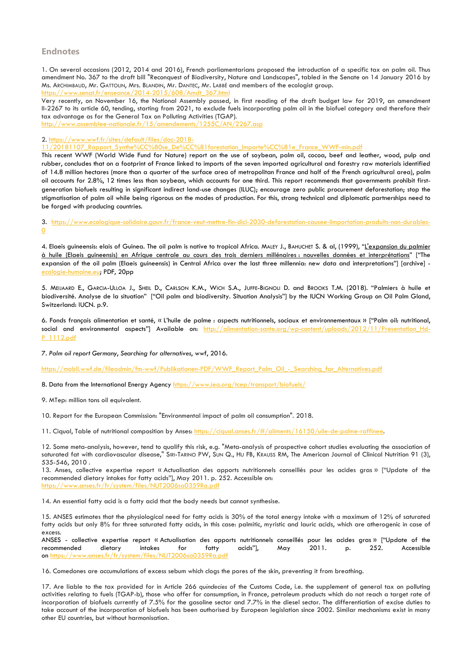# **Endnotes**

1. On several occasions (2012, 2014 and 2016), French parliamentarians proposed the introduction of a specific tax on palm oil. Thus amendment No. 367 to the draft bill "Reconquest of Biodiversity, Nature and Landscapes", tabled in the Senate on 14 January 2016 by Ms. ARCHIMBAUD, Mr. GATTOLIN, Mrs. BLANDIN, Mr. DANTEC, Mr. LABBÉ and members of the ecologist group. https://www.senat.fr/enseance/2014-2015/608/Amdt\_367.html

Very recently, on November 16, the National Assembly passed, in first reading of the draft budget law for 2019, an amendment II-2267 to its article 60, tending, starting from 2021, to exclude fuels incorporating palm oil in the biofuel category and therefore their tax advantage as for the General Tax on Polluting Activities (TGAP).

http://www.assemblee-nationale.fr/15/amendements/1255C/AN

2. https://www.wwf.fr/sites/default/files/doc-2018-

11/20181107\_Rapport\_Synthe%CC%80se\_De%CC%81forestation\_Importe%CC%81e\_France\_WWF-min.pdf

This recent WWF (World Wide Fund for Nature) report on the use of soybean, palm oil, cocoa, beef and leather, wood, pulp and rubber, concludes that on a footprint of France linked to imports of the seven imported agricultural and forestry raw materials identified of 14.8 million hectares (more than a quarter of the surface area of metropolitan France and half of the French agricultural area), palm oil accounts for 2.8%, 12 times less than soybean, which accounts for one third. This report recommends that governments prohibit firstgeneration biofuels resulting in significant indirect land-use changes (ILUC); encourage zero public procurement deforestation; stop the stigmatisation of palm oil while being rigorous on the modes of production. For this, strong technical and diplomatic partnerships need to be forged with producing countries.

3. https://www.ecologique-solidaire.gouv.fr/france-veut-mettre-fin-dici-2030-deforestation-causee-limportation-produits-non-durables-0

4. Elaeis guineensis: elais of Guinea. The oil palm is native to tropical Africa. MALEY J., BAHUCHET S. & al, (1999), "L'expansion du palmier à huile (Elaeis guineensis) en Afrique centrale au cours des trois derniers millénaires : nouvelles données et interprétations" ["The expansion of the oil palm (Elaeis guineensis) in Central Africa over the last three millennia: new data and interpretations"] [archive] ecologie-humaine.eu; PDF, 20pp

5. MEIJAARD E., GARCIA-ULLOA J., SHEIL D., CARLSON K.M., WICH S.A., JUFFE-BIGNOLI D. and BROOKS T.M. (2018). "Palmiers à huile et biodiversité. Analyse de la situation" ["Oil palm and biodiversity. Situation Analysis"] by the IUCN Working Group on Oil Palm Gland, Switzerland: IUCN. p.9.

6. Fonds français alimentation et santé, « L'huile de palme : aspects nutritionnels, sociaux et environnementaux » ["Palm oil: nutritional, social and environmental aspects"] Available on: http://alimentation-sante.org/wp-content/uploads/2012/11/Presentation Hd-P\_1112.pdf

7. *Palm oil report Germany*, *Searching for alternatives*, wwf, 2016.

https://mobil.wwf.de/fileadmin/fm-wwf/Publikationen-PDF/WWF\_Report\_Palm\_Oil\_-\_Searching\_for\_Alternatives.pdf

8. Data from the International Energy Agency https://www.iea.org/tcep/transport/biofuels/

9. MTep: million tons oil equivalent.

10. Report for the European Commission: "Environmental impact of palm oil consumption". 2018.

11. Ciqual, Table of nutritional composition by Anses: https://ciqual.anses.fr/#/aliments/16150/uile-de-palme-raffinee.

12. Some meta-analysis, however, tend to qualify this risk, e.g. "Meta-analysis of prospective cohort studies evaluating the association of saturated fat with cardiovascular disease," SIRI-TARINO PW, SUN Q., HU FB, KRAUSS RM, The American Journal of Clinical Nutrition 91 (3), 535-546, 2010 .

13. Anses, collective expertise report « Actualisation des apports nutritionnels conseillés pour les acides gras » ["Update of the recommended dietary intakes for fatty acids"], May 2011. p. 252. Accessible on: https://www.anses.fr/fr/system/files/NUT2006sa0359Ra.pdf

14. An essential fatty acid is a fatty acid that the body needs but cannot synthesise.

15. ANSES estimates that the physiological need for fatty acids is 30% of the total energy intake with a maximum of 12% of saturated fatty acids but only 8% for three saturated fatty acids, in this case: palmitic, myristic and lauric acids, which are atherogenic in case of excess.

ANSES - collective expertise report « Actualisation des apports nutritionnels conseillés pour les acides gras » ["Update of the<br>recommended a dietary aintakes tor fatty acids"], May 2011. p. 252. Accessible recommended dietary intakes for fatty acids"], May 2011. p. 252. Accessible on https://www.anses.fr/fr/system/files/NUT2006sa0359Ra.pdf

16. Comedones are accumulations of excess sebum which clogs the pores of the skin, preventing it from breathing.

17. Are liable to the tax provided for in Article 266 *quindecies* of the Customs Code, i.e. the supplement of general tax on polluting activities relating to fuels (TGAP-b), those who offer for consumption, in France, petroleum products which do not reach a target rate of incorporation of biofuels currently of 7.5% for the gasoline sector and 7.7% in the diesel sector. The differentiation of excise duties to take account of the incorporation of biofuels has been authorised by European legislation since 2002. Similar mechanisms exist in many other EU countries, but without harmonisation.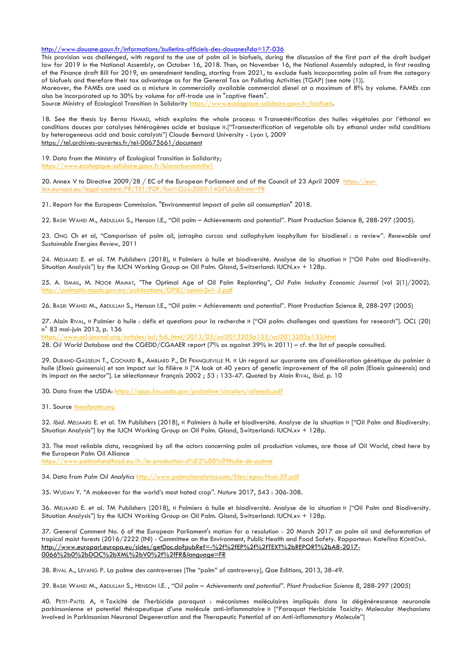http://www.douane.gouv.fr/informations/bulletins-officiels-des-douanes?da=17-036

This provision was challenged, with regard to the use of palm oil in biofuels, during the discussion of the first part of the draft budget law for 2019 in the National Assembly, on October 16, 2018. Then, on November 16, the National Assembly adopted, in first reading of the Finance draft Bill for 2019, an amendment tending, starting from 2021, to exclude fuels incorporating palm oil from the category of biofuels and therefore their tax advantage as for the General Tax on Polluting Activities (TGAP) (see note (1)).

Moreover, the FAMEs are used as a mixture in commercially available commercial diesel at a maximum of 8% by volume. FAMEs can also be incorporated up to 30% by volume for off-trade use in "captive fleets".

Source Ministry of Ecological Transition in Solidarity https://www.ecologique-solidaire.gouv.fr/biofuels.

18. See the thesis by Berna HAMAD, which explains the whole process: « Transestérification des huiles végétales par l'éthanol en conditions douces par catalyses hétérogènes acide et basique ».["Transesterification of vegetable oils by ethanol under mild conditions by heterogeneous acid and basic catalysts"] Claude Bernard University - Lyon I, 2009 https://tel.archives-ouvertes.fr/tel-00675661/document

19. Data from the Ministry of Ecological Transition in Solidarity; https://www.ecologique-solidaire.gouv.fr/biocarburants#e1

20. Annex V to Directive 2009/28 / EC of the European Parliament and of the Council of 23 April 2009 https://eur- $\frac{1}{2}$ europa.eu/legal-content/FR/TXT/PDF/ $\frac{2}{1}$ uri $=$ OJ:L $\frac{2009.140 \cdot$ FULL&from=FR/TXT

21. Report for the European Commission. "Environmental impact of palm oil consumption" 2018.

22. BASRI WAHID M., ABDULLAH S., Henson I.E., "Oil palm – Achievements and potential". Plant Production Science 8, 288-297 (2005).

23. ONG Ch et al, "Comparison of palm oil, jatropha curcas and callophylum inophyllum for biodiesel : a review". *Renewable and Sustainable Energies Review*, 2011

24. MEIJAARD E. et al. TM Publishers (2018), « Palmiers à huile et biodiversité. Analyse de la situation » ["Oil Palm and Biodiversity. Situation Analysis"] by the IUCN Working Group on Oil Palm. Gland, Switzerland: IUCN.xv + 128p.

25. A. ISMAIL, M. NOOR MAMAT, "The Optimal Age of Oil Palm Replanting", *Oil Palm Industry Economic Journal* (vol 2(1)/2002). http://palmoilis.mpob.gov.my/publications/OPIEJ/opiejv2n1-2.pdf

26. BASRI WAHID M., ABDULLAH S., Henson I.E., "Oil palm – Achievements and potential". Plant Production Science 8, 288-297 (2005)

27. Alain RIVAL, « Palmier à huile : défis et questions pour la recherche » ["Oil palm: challenges and questions for research"]. *OCL* (20) n° 83 mai-juin 2013, p. 136

https://www.ocl-journal.org/articles/ocl/full\_html/2013/03/ocl2013203p133/ocl2013203p133.html

28. *Oil World Database* and the CGEDD/CGAAER report (7% as against 39% in 2011) – *cf.* the list of people consulted.

29. DURAND-GASSELIN T., COCHARD B., AMBLARD P., DE FRANQUEVILLE H. « Un regard sur quarante ans d'amélioration génétique du palmier à huile (*Elaeis guineensis*) et son impact sur la filière » ["A look at 40 years of genetic improvement of the oil palm (Elaeis guineensis) and its impact on the sector"]. Le sélectionneur français 2002 ; 53 : 133-47. Quoted by Alain RIVAL, *Ibid*. p. 10

30. Data from the USDA: https://apps.fas.usda.gov/psdonline/circulars/oilseeds.pdf

31. Source theoilpalm.org

32. *Ibid.* MEIJAARD E. et al. TM Publishers (2018), « Palmiers à huile et biodiversité. Analyse de la situation » ["Oil Palm and Biodiversity. Situation Analysis"] by the IUCN Working Group on Oil Palm. Gland, Switzerland: IUCN.xv + 128p.

33. The most reliable data, recognised by all the actors concerning palm oil production volumes, are those of Oil World, cited here by the European Palm Oil Alliance https://www.palmoilandfood.eu/fr/la-production-d%E2%80%99huile-de-palme

34. Data from *Palm Oil Analytics* http://www.palmoilanalytics.com/files/epos-final-59.pdf

35. WUDAN Y. *"*A makeover for the world's most hated crop*"*. *Nature* 2017, 543 : 306-308.

36. MEIJAARD E. et al. TM Publishers (2018), « Palmiers à huile et biodiversité. Analyse de la situation » ["Oil Palm and Biodiversity. Situation Analysis"] by the IUCN Working Group on Oil Palm. Gland, Switzerland: IUCN.xv + 128p.

37. General Comment No. 6 of the European Parliament's motion for a resolution - 20 March 2017 on palm oil and deforestation of tropical moist forests (2016/2222 (INI) - Committee on the Environment, Public Health and Food Safety. Rapporteur: Kateřina KONEČNÁ. http://www.europarl.europa.eu/sides/getDoc.do?pubRef=-%2f%2fEP%2f%2fTEXT%2bREPORT%2bA8-2017- 0066%2b0%2bDOC%2bXML%2bV0%2f%2fFR&language=FR

38. RIVAL A., LEVANG P. La palme des controverses [The "palm" of controversy], Qae Editions, 2013, 38-49.

39. BASRI WAHID M., ABDULLAH S., HENSON I.E. , "*Oil palm – Achievements and potential". Plant Production Science 8*, 288-297 (2005)

40. PETIT-PAITEL A, « Toxicité de l'herbicide paraquat : mécanismes moléculaires impliqués dans la dégénérescence neuronale parkinsonienne et potentiel thérapeutique d'une molécule anti-inflammatoire » ["Paraquat Herbicide Toxicity: Molecular Mechanisms Involved in Parkinsonian Neuronal Degeneration and the Therapeutic Potential of an Anti-inflammatory Molecule"]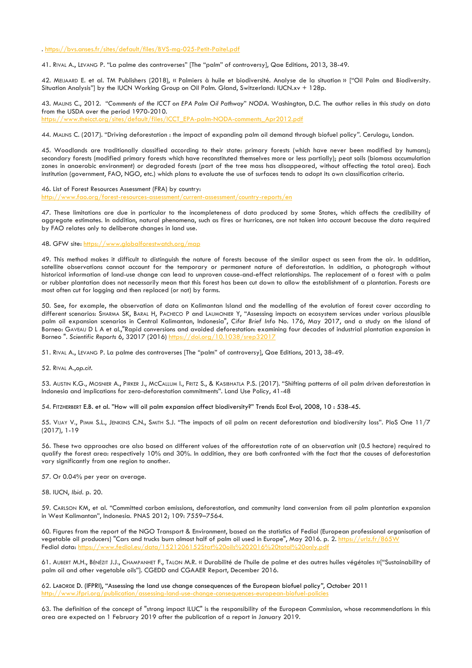. https://bvs.anses.fr/sites/default/files/BVS-mg-025-Petit-Paitel.pdf

41. RIVAL A., LEVANG P. "La palme des controverses" [The "palm" of controversy], Qae Editions, 2013, 38-49.

42. MEIJAARD E. et al. TM Publishers (2018), « Palmiers à huile et biodiversité. Analyse de la situation » ["Oil Palm and Biodiversity. Situation Analysis"] by the IUCN Working Group on Oil Palm. Gland, Switzerland: IUCN.xv + 128p.

43. MALINS C., 2012. "*Comments of the ICCT on EPA Palm Oil Pathway*" *NODA*. Washington, D.C. The author relies in this study on data from the USDA over the period 1970-2010. https://www.theicct.org/sites/default/files/ICCT\_EPA-palm-NODA-comments\_Apr2012.pdf

44. MALINS C. (2017). "Driving deforestation : the impact of expanding palm oil demand through biofuel policy*"*. Cerulogu, London.

45. Woodlands are traditionally classified according to their state: primary forests (which have never been modified by humans); secondary forests (modified primary forests which have reconstituted themselves more or less partially); peat soils (biomass accumulation zones in anaerobic environment) or degraded forests (part of the tree mass has disappeared, without affecting the total area). Each institution (government, FAO, NGO, etc.) which plans to evaluate the use of surfaces tends to adopt its own classification criteria.

46. List of Forest Resources Assessment (FRA) by country:

http://www.fao.org/forest-resources-assessment/current-assessment/country-reports/en

47. These limitations are due in particular to the incompleteness of data produced by some States, which affects the credibility of aggregate estimates. In addition, natural phenomena, such as fires or hurricanes, are not taken into account because the data required by FAO relates only to deliberate changes in land use.

48. GFW site: https://www.globalforestwatch.org/map

49. This method makes it difficult to distinguish the nature of forests because of the similar aspect as seen from the air. In addition, satellite observations cannot account for the temporary or permanent nature of deforestation. In addition, a photograph without historical information of land-use change can lead to unproven cause-and-effect relationships. The replacement of a forest with a palm or rubber plantation does not necessarily mean that this forest has been cut down to allow the establishment of a plantation. Forests are most often cut for logging and then replaced (or not) by farms.

50. See, for example, the observation of data on Kalimantan Island and the modelling of the evolution of forest cover according to different scenarios: SHARMA SK, BARAL H, PACHECO P and LAUMONIER Y, "Assessing impacts on ecosystem services under various plausible palm oil expansion scenarios in Central Kalimantan, Indonesia", *Cifor Brief Info* No. 176, May 2017, and a study on the island of Borneo: GAVEAU D L A et al.,"Rapid conversions and avoided deforestation: examining four decades of industrial plantation expansion in Borneo ". Scientific Reports 6, 32017 (2016) https://doi.org/10.1038

51. RIVAL A., LEVANG P. La palme des controverses [The "palm" of controversy], Qae Editions, 2013, 38-49.

52. RIVAL A.,*op.cit.*

53. AUSTIN K.G., MOSNIER A., PIRKER J., MCCALLUM I., FRITZ S., & KASIBHATLA P.S. (2017). "Shifting patterns of oil palm driven deforestation in Indonesia and implications for zero-deforestation commitments"*.* Land Use Policy, 41-48

54. FITZHERBERT E.B. et al. "How will oil palm expansion affect biodiversity?" Trends Ecol Evol, 2008, 10 : 538-45.

55. VIJAY V., PIMM S.L., JENKIINS C.N., SMITH S.J. "The impacts of oil palm on recent deforestation and biodiversity loss". PloS One 11/7 (2017), 1-19

56. These two approaches are also based on different values of the afforestation rate of an observation unit (0.5 hectare) required to qualify the forest area: respectively 10% and 30%. In addition, they are both confronted with the fact that the causes of deforestation vary significantly from one region to another.

57. Or 0.04% per year on average.

58. IUCN, *Ibid*. p. 20.

59. CARLSON KM, et al. "Committed carbon emissions, deforestation, and community land conversion from oil palm plantation expansion in West Kalimantan", Indonesia. PNAS 2012; 109: 7559–7564.

60. Figures from the report of the NGO Transport & Environment, based on the statistics of Fediol (European professional organisation of vegetable oil producers) "Cars and trucks burn almost half of palm oil used in Europe", May 2016. p. 2. https://urlz.fr/865W Fediol data: https://www.fediol.eu/data/152120615

61. AUBERT M.H., BÉNÉZIT J.J., CHAMPANHET F., TALON M.R. « Durabilité de l'huile de palme et des autres huiles végétales »["Sustainability of palm oil and other vegetable oils"]. CGEDD and CGAAER Report, December 2016.

62. LABORDE D. (IFPRI), "Assessing the land use change consequences of the European biofuel policy*"*, October 2011 http://www.ifpri.org/publication/assessing-land-use-change-consequences-european-biofuel-policies

63. The definition of the concept of "strong impact ILUC" is the responsibility of the European Commission, whose recommendations in this area are expected on 1 February 2019 after the publication of a report in January 2019.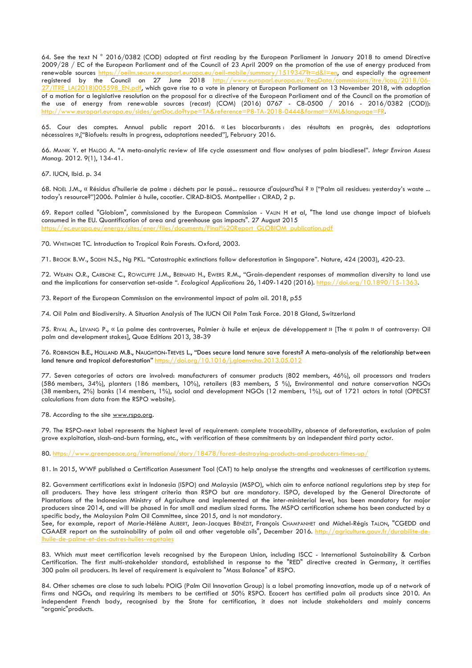64. See the text N ° 2016/0382 (COD) adopted at first reading by the European Parliament in January 2018 to amend Directive 2009/28 / EC of the European Parliament and of the Council of 23 April 2009 on the promotion of the use of energy produced from renewable sources https://oeilm.secure.europarl.europa.eu/oeil-mobile/summary/1519347?t=d&l=en, and especially the agreement registered by the Council on 27 June 2018 http://www.europarl.europa.eu/RegData/commissions/itre/lcag/2018/06-27/ITRE\_LA(2018)005598\_EN.pdf, which gave rise to a vote in plenary at European Parliament on 13 November 2018, with adoption of a motion for a legislative resolution on the proposal for a directive of the European Parliament and of the Council on the promotion of the use of energy from renewable sources (recast) (COM) (2016) 0767 - C8-0500 / 2016 - 2016/0382 (COD)): http://www.europarl.europa.eu/sides/getDoc.do?type=TA&reference=P8-TA-2018-0444&format=XML&language=FR.

65. Cour des comptes. Annual public report 2016. « Les biocarburants : des résultats en progrès, des adaptations nécessaires »,["Biofuels: results in progress, adaptations needed"], February 2016.

66. MANIK Y. et HALOG A. "A meta-analytic review of life cycle assessment and flow analyses of palm biodiesel". *Integr Environ Assess Manag*. 2012. 9(1), 134-41.

67. IUCN, Ibid. p. 34

68. NOËL J.M., « Résidus d'huilerie de palme : déchets par le passé... ressource d'aujourd'hui ? » ["Palm oil residues: yesterday's waste ... today's resource?"]2006. Palmier à huile, cocotier. CIRAD-BIOS. Montpellier : CIRAD, 2 p.

69. Report called "Globiom", commissioned by the European Commission - VALIN H et al, "The land use change impact of biofuels consumed in the EU. Quantification of area and greenhouse gas impacts". 27 August 2015 https://ec.europa.eu/energy/sites/ener/files/documents/Final%20Report\_GLOBIOM\_publication.pdf

70. WHITMORE TC. Introduction to Tropical Rain Forests. Oxford, 2003.

71. BROOK B.W., SODHI N.S., Ng PKL. "Catastrophic extinctions follow deforestation in Singapore". Nature, 424 (2003), 420-23.

72. WEARN O.R., CARBONE C., ROWCLIFFE J.M., BERNARD H., EWERS R.M., "Grain-dependent responses of mammalian diversity to land use and the implications for conservation set-aside ". *Ecological Applications* 26, 1409-1420 (2016). https://doi.org/10.1890/15-1363.

73. Report of the European Commission on the environmental impact of palm oil. 2018, p55

74. Oil Palm and Biodiversity. A Situation Analysis of The IUCN Oil Palm Task Force. 2018 Gland, Switzerland

75. RIVAL A., LEVANG P., « La palme des controverses, Palmier à huile et enjeux de développement » [The « palm » of controversy: Oil palm and development stakes], Quae Editions 2013, 38-39

76. ROBINSON B.E., HOLLAND M.B., NAUGHTON-TREVES L., "Does secure land tenure save forests? A meta-analysis of the relationship between land tenure and tropical deforestation<sup>"</sup> https://doi.org/10.1016/j.gloenvcha.2013.05.012

77. Seven categories of actors are involved: manufacturers of consumer products (802 members, 46%), oil processors and traders (586 members, 34%), planters (186 members, 10%), retailers (83 members, 5 %), Environmental and nature conservation NGOs (38 members, 2%) banks (14 members, 1%), social and development NGOs (12 members, 1%), out of 1721 actors in total (OPECST calculations from data from the RSPO website).

78. According to the site www.rspo.org.

79. The RSPO-next label represents the highest level of requirement: complete traceability, absence of deforestation, exclusion of palm grove exploitation, slash-and-burn farming, etc., with verification of these commitments by an independent third party actor.

80. https://www.greenpeace.org/international/story/18478/forest-destroying-products-and-producers-times-up/

81. In 2015, WWF published a Certification Assessment Tool (CAT) to help analyse the strengths and weaknesses of certification systems.

82. Government certifications exist in Indonesia (ISPO) and Malaysia (MSPO), which aim to enforce national regulations step by step for all producers. They have less stringent criteria than RSPO but are mandatory. ISPO, developed by the General Directorate of Plantations of the Indonesian Ministry of Agriculture and implemented at the inter-ministerial level, has been mandatory for major producers since 2014, and will be phased in for small and medium sized farms. The MSPO certification scheme has been conducted by a specific body, the Malaysian Palm Oil Committee, since 2015, and is not mandatory.

See, for example, report of Marie-Hélène AUBERT, Jean-Jacques BÉNÉZIT, François CHAMPANHET and Michel-Régis TALON, "CGEDD and CGAAER report on the sustainability of palm oil and other vegetable oils", December 2016. http://agriculture.gouv.fr/durabilite-delhuile-de-palme-et-des-autres-huiles-vegetales

83. Which must meet certification levels recognised by the European Union, including ISCC - International Sustainability & Carbon Certification. The first multi-stakeholder standard, established in response to the "RED" directive created in Germany, it certifies 300 palm oil producers. Its level of requirement is equivalent to "Mass Balance" of RSPO.

84. Other schemes are close to such labels: POIG (Palm Oil Innovation Group) is a label promoting innovation, made up of a network of firms and NGOs, and requiring its members to be certified at 50% RSPO. Ecocert has certified palm oil products since 2010. An independent French body, recognised by the State for certification, it does not include stakeholders and mainly concerns "organic" products.